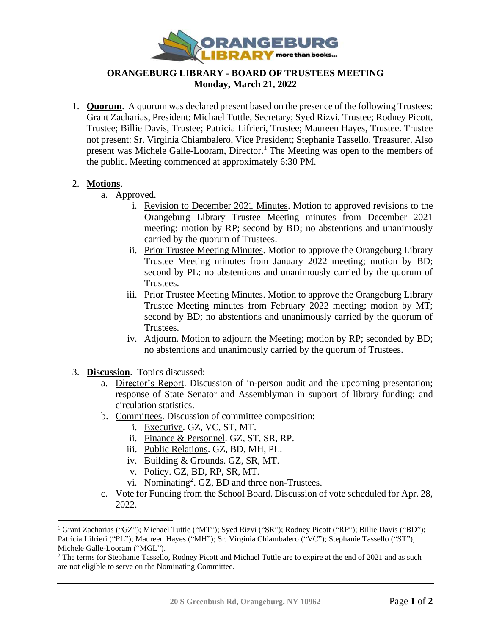

## **ORANGEBURG LIBRARY - BOARD OF TRUSTEES MEETING Monday, March 21, 2022**

1. **Quorum**. A quorum was declared present based on the presence of the following Trustees: Grant Zacharias, President; Michael Tuttle, Secretary; Syed Rizvi, Trustee; Rodney Picott, Trustee; Billie Davis, Trustee; Patricia Lifrieri, Trustee; Maureen Hayes, Trustee. Trustee not present: Sr. Virginia Chiambalero, Vice President; Stephanie Tassello, Treasurer. Also present was Michele Galle-Looram, Director.<sup>1</sup> The Meeting was open to the members of the public. Meeting commenced at approximately 6:30 PM.

## 2. **Motions**.

- a. Approved.
	- i. Revision to December 2021 Minutes. Motion to approved revisions to the Orangeburg Library Trustee Meeting minutes from December 2021 meeting; motion by RP; second by BD; no abstentions and unanimously carried by the quorum of Trustees.
	- ii. Prior Trustee Meeting Minutes. Motion to approve the Orangeburg Library Trustee Meeting minutes from January 2022 meeting; motion by BD; second by PL; no abstentions and unanimously carried by the quorum of Trustees.
	- iii. Prior Trustee Meeting Minutes. Motion to approve the Orangeburg Library Trustee Meeting minutes from February 2022 meeting; motion by MT; second by BD; no abstentions and unanimously carried by the quorum of Trustees.
	- iv. Adjourn. Motion to adjourn the Meeting; motion by RP; seconded by BD; no abstentions and unanimously carried by the quorum of Trustees.
- 3. **Discussion**. Topics discussed:
	- a. Director's Report. Discussion of in-person audit and the upcoming presentation; response of State Senator and Assemblyman in support of library funding; and circulation statistics.
	- b. Committees. Discussion of committee composition:
		- i. Executive. GZ, VC, ST, MT.
		- ii. Finance & Personnel. GZ, ST, SR, RP.
		- iii. Public Relations. GZ, BD, MH, PL.
		- iv. Building & Grounds. GZ, SR, MT.
		- v. Policy. GZ, BD, RP, SR, MT.
		- vi. Nominating<sup>2</sup>. GZ, BD and three non-Trustees.
	- c. Vote for Funding from the School Board. Discussion of vote scheduled for Apr. 28, 2022.

<sup>&</sup>lt;sup>1</sup> Grant Zacharias ("GZ"); Michael Tuttle ("MT"); Syed Rizvi ("SR"); Rodney Picott ("RP"); Billie Davis ("BD"); Patricia Lifrieri ("PL"); Maureen Hayes ("MH"); Sr. Virginia Chiambalero ("VC"); Stephanie Tassello ("ST"); Michele Galle-Looram ("MGL").

<sup>&</sup>lt;sup>2</sup> The terms for Stephanie Tassello, Rodney Picott and Michael Tuttle are to expire at the end of 2021 and as such are not eligible to serve on the Nominating Committee.